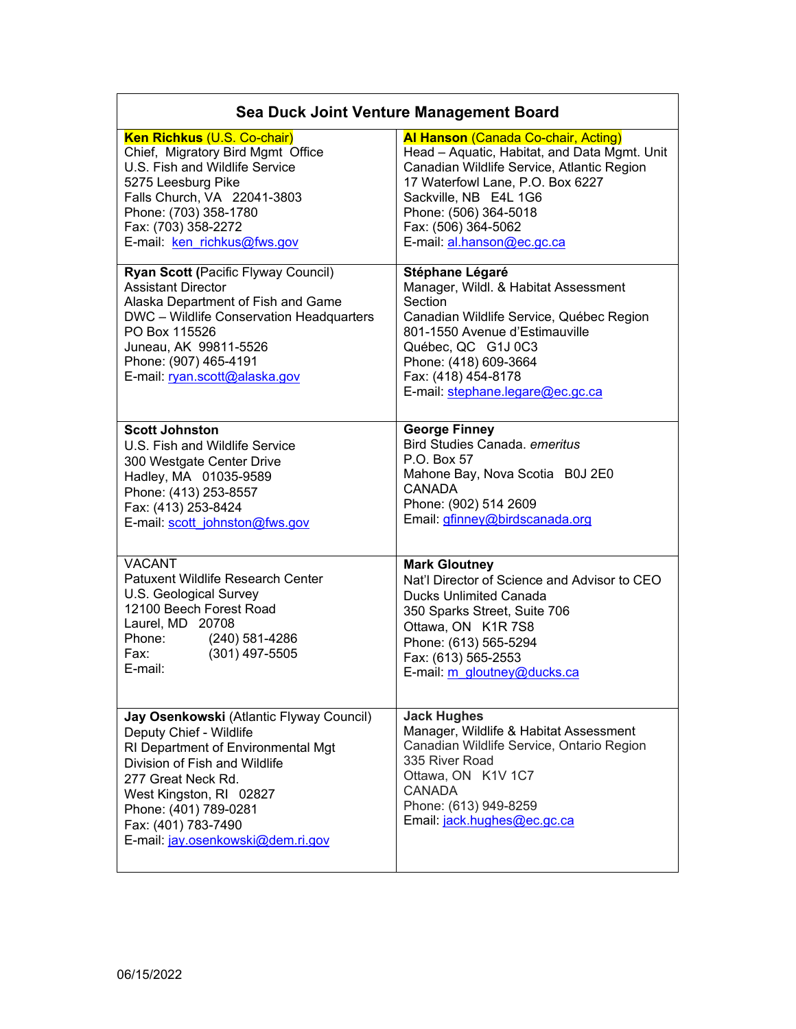| Sea Duck Joint Venture Management Board                                                                                                                                                                                                                                          |                                                                                                                                                                                                                                                                                     |  |
|----------------------------------------------------------------------------------------------------------------------------------------------------------------------------------------------------------------------------------------------------------------------------------|-------------------------------------------------------------------------------------------------------------------------------------------------------------------------------------------------------------------------------------------------------------------------------------|--|
| <b>Ken Richkus (U.S. Co-chair)</b><br>Chief, Migratory Bird Mgmt Office<br>U.S. Fish and Wildlife Service<br>5275 Leesburg Pike<br>Falls Church, VA 22041-3803<br>Phone: (703) 358-1780<br>Fax: (703) 358-2272<br>E-mail: ken richkus@fws.gov                                    | <b>Al Hanson (Canada Co-chair, Acting)</b><br>Head - Aquatic, Habitat, and Data Mgmt. Unit<br>Canadian Wildlife Service, Atlantic Region<br>17 Waterfowl Lane, P.O. Box 6227<br>Sackville, NB E4L 1G6<br>Phone: (506) 364-5018<br>Fax: (506) 364-5062<br>E-mail: al.hanson@ec.gc.ca |  |
| Ryan Scott (Pacific Flyway Council)<br><b>Assistant Director</b><br>Alaska Department of Fish and Game<br>DWC - Wildlife Conservation Headquarters<br>PO Box 115526<br>Juneau, AK 99811-5526<br>Phone: (907) 465-4191<br>E-mail: rvan.scott@alaska.gov                           | Stéphane Légaré<br>Manager, Wildl. & Habitat Assessment<br>Section<br>Canadian Wildlife Service, Québec Region<br>801-1550 Avenue d'Estimauville<br>Québec, QC G1J 0C3<br>Phone: (418) 609-3664<br>Fax: (418) 454-8178<br>E-mail: stephane.legare@ec.gc.ca                          |  |
| <b>Scott Johnston</b><br>U.S. Fish and Wildlife Service<br>300 Westgate Center Drive<br>Hadley, MA 01035-9589<br>Phone: (413) 253-8557<br>Fax: (413) 253-8424<br>E-mail: scott johnston@fws.gov                                                                                  | <b>George Finney</b><br>Bird Studies Canada. emeritus<br>P.O. Box 57<br>Mahone Bay, Nova Scotia B0J 2E0<br><b>CANADA</b><br>Phone: (902) 514 2609<br>Email: gfinney@birdscanada.org                                                                                                 |  |
| <b>VACANT</b><br><b>Patuxent Wildlife Research Center</b><br>U.S. Geological Survey<br>12100 Beech Forest Road<br>Laurel, MD 20708<br>Phone:<br>(240) 581-4286<br>$(301)$ 497-5505<br>Fax:<br>E-mail:                                                                            | <b>Mark Gloutney</b><br>Nat'l Director of Science and Advisor to CEO<br><b>Ducks Unlimited Canada</b><br>350 Sparks Street, Suite 706<br>Ottawa, ON K1R 7S8<br>Phone: (613) 565-5294<br>Fax: (613) 565-2553<br>E-mail: m gloutney@ducks.ca                                          |  |
| Jay Osenkowski (Atlantic Flyway Council)<br>Deputy Chief - Wildlife<br>RI Department of Environmental Mgt<br>Division of Fish and Wildlife<br>277 Great Neck Rd.<br>West Kingston, RI 02827<br>Phone: (401) 789-0281<br>Fax: (401) 783-7490<br>E-mail: jay.osenkowski@dem.ri.gov | <b>Jack Hughes</b><br>Manager, Wildlife & Habitat Assessment<br>Canadian Wildlife Service, Ontario Region<br>335 River Road<br>Ottawa, ON K1V 1C7<br><b>CANADA</b><br>Phone: (613) 949-8259<br>Email: jack.hughes@ec.gc.ca                                                          |  |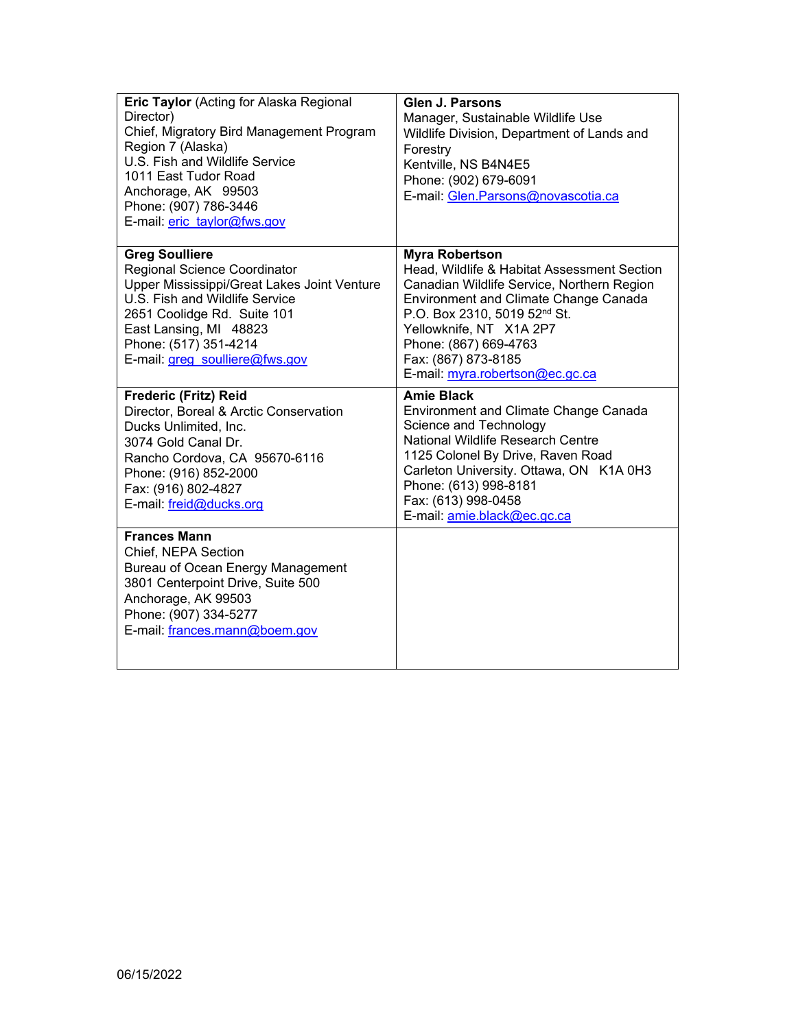| <b>Eric Taylor</b> (Acting for Alaska Regional<br>Director)<br>Chief, Migratory Bird Management Program<br>Region 7 (Alaska)<br>U.S. Fish and Wildlife Service<br>1011 East Tudor Road<br>Anchorage, AK 99503<br>Phone: (907) 786-3446<br>E-mail: eric_taylor@fws.gov | <b>Glen J. Parsons</b><br>Manager, Sustainable Wildlife Use<br>Wildlife Division, Department of Lands and<br>Forestry<br>Kentville, NS B4N4E5<br>Phone: (902) 679-6091<br>E-mail: Glen.Parsons@novascotia.ca                                                                                              |
|-----------------------------------------------------------------------------------------------------------------------------------------------------------------------------------------------------------------------------------------------------------------------|-----------------------------------------------------------------------------------------------------------------------------------------------------------------------------------------------------------------------------------------------------------------------------------------------------------|
| <b>Greg Soulliere</b><br>Regional Science Coordinator<br>Upper Mississippi/Great Lakes Joint Venture<br>U.S. Fish and Wildlife Service<br>2651 Coolidge Rd. Suite 101<br>East Lansing, MI 48823<br>Phone: (517) 351-4214<br>E-mail: greg_soulliere@fws.gov            | <b>Myra Robertson</b><br>Head, Wildlife & Habitat Assessment Section<br>Canadian Wildlife Service, Northern Region<br>Environment and Climate Change Canada<br>P.O. Box 2310, 5019 52nd St.<br>Yellowknife, NT X1A 2P7<br>Phone: (867) 669-4763<br>Fax: (867) 873-8185<br>E-mail: myra.robertson@ec.gc.ca |
| Frederic (Fritz) Reid<br>Director, Boreal & Arctic Conservation<br>Ducks Unlimited, Inc.<br>3074 Gold Canal Dr.<br>Rancho Cordova, CA 95670-6116<br>Phone: (916) 852-2000<br>Fax: (916) 802-4827<br>E-mail: freid@ducks.org                                           | <b>Amie Black</b><br>Environment and Climate Change Canada<br>Science and Technology<br>National Wildlife Research Centre<br>1125 Colonel By Drive, Raven Road<br>Carleton University. Ottawa, ON K1A 0H3<br>Phone: (613) 998-8181<br>Fax: (613) 998-0458<br>E-mail: amie.black@ec.gc.ca                  |
| <b>Frances Mann</b><br>Chief, NEPA Section<br>Bureau of Ocean Energy Management<br>3801 Centerpoint Drive, Suite 500<br>Anchorage, AK 99503<br>Phone: (907) 334-5277<br>E-mail: frances.mann@boem.gov                                                                 |                                                                                                                                                                                                                                                                                                           |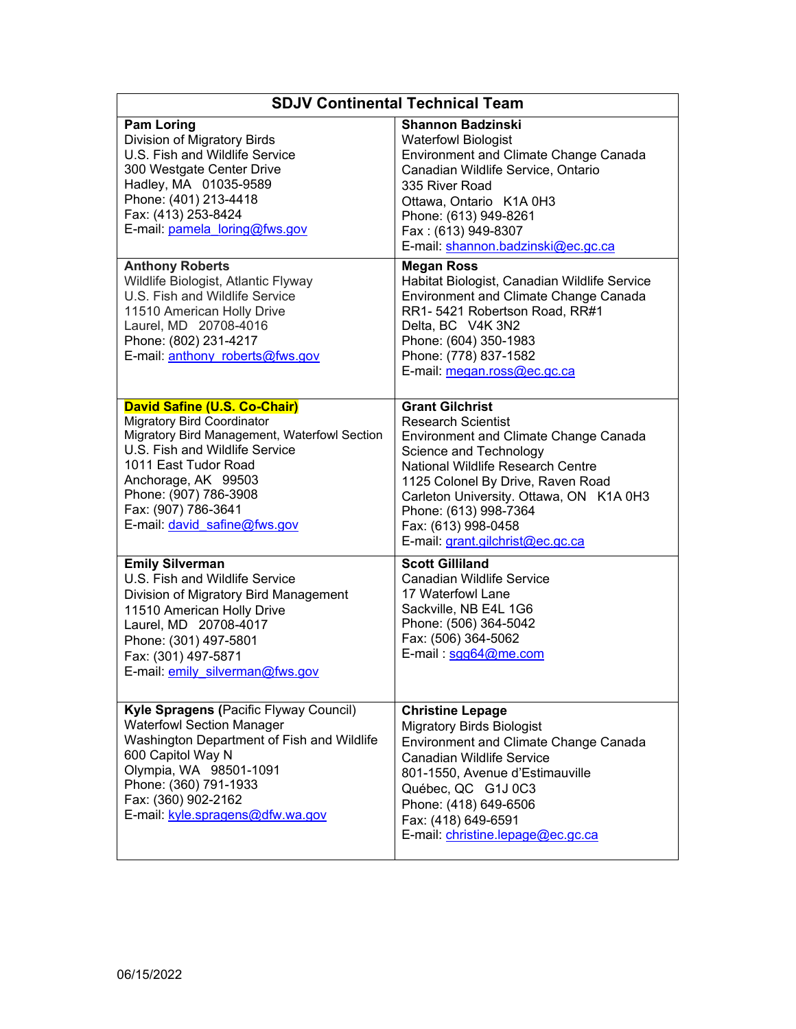| <b>SDJV Continental Technical Team</b>                                                                                                                                                                                                                                             |                                                                                                                                                                                                                                                                                                                                        |  |
|------------------------------------------------------------------------------------------------------------------------------------------------------------------------------------------------------------------------------------------------------------------------------------|----------------------------------------------------------------------------------------------------------------------------------------------------------------------------------------------------------------------------------------------------------------------------------------------------------------------------------------|--|
| <b>Pam Loring</b><br>Division of Migratory Birds<br>U.S. Fish and Wildlife Service<br>300 Westgate Center Drive<br>Hadley, MA 01035-9589<br>Phone: (401) 213-4418<br>Fax: (413) 253-8424<br>E-mail: pamela loring@fws.gov                                                          | <b>Shannon Badzinski</b><br><b>Waterfowl Biologist</b><br><b>Environment and Climate Change Canada</b><br>Canadian Wildlife Service, Ontario<br>335 River Road<br>Ottawa, Ontario K1A 0H3<br>Phone: (613) 949-8261<br>Fax: (613) 949-8307<br>E-mail: shannon.badzinski@ec.gc.ca                                                        |  |
| <b>Anthony Roberts</b><br>Wildlife Biologist, Atlantic Flyway<br>U.S. Fish and Wildlife Service<br>11510 American Holly Drive<br>Laurel, MD 20708-4016<br>Phone: (802) 231-4217<br>E-mail: anthony roberts@fws.gov                                                                 | <b>Megan Ross</b><br>Habitat Biologist, Canadian Wildlife Service<br><b>Environment and Climate Change Canada</b><br>RR1- 5421 Robertson Road, RR#1<br>Delta, BC V4K 3N2<br>Phone: (604) 350-1983<br>Phone: (778) 837-1582<br>E-mail: megan.ross@ec.gc.ca                                                                              |  |
| David Safine (U.S. Co-Chair)<br><b>Migratory Bird Coordinator</b><br>Migratory Bird Management, Waterfowl Section<br>U.S. Fish and Wildlife Service<br>1011 East Tudor Road<br>Anchorage, AK 99503<br>Phone: (907) 786-3908<br>Fax: (907) 786-3641<br>E-mail: david safine@fws.gov | <b>Grant Gilchrist</b><br><b>Research Scientist</b><br><b>Environment and Climate Change Canada</b><br>Science and Technology<br>National Wildlife Research Centre<br>1125 Colonel By Drive, Raven Road<br>Carleton University. Ottawa, ON K1A 0H3<br>Phone: (613) 998-7364<br>Fax: (613) 998-0458<br>E-mail: grant.gilchrist@ec.gc.ca |  |
| <b>Emily Silverman</b><br>U.S. Fish and Wildlife Service<br>Division of Migratory Bird Management<br>11510 American Holly Drive<br>Laurel, MD 20708-4017<br>Phone: (301) 497-5801<br>Fax: (301) 497-5871<br>E-mail: emily silverman@fws.gov                                        | <b>Scott Gilliland</b><br><b>Canadian Wildlife Service</b><br>17 Waterfowl Lane<br>Sackville, NB E4L 1G6<br>Phone: (506) 364-5042<br>Fax: (506) 364-5062<br>E-mail: sgg64@me.com                                                                                                                                                       |  |
| Kyle Spragens (Pacific Flyway Council)<br><b>Waterfowl Section Manager</b><br>Washington Department of Fish and Wildlife<br>600 Capitol Way N<br>Olympia, WA 98501-1091<br>Phone: (360) 791-1933<br>Fax: (360) 902-2162<br>E-mail: kyle.spragens@dfw.wa.gov                        | <b>Christine Lepage</b><br><b>Migratory Birds Biologist</b><br>Environment and Climate Change Canada<br><b>Canadian Wildlife Service</b><br>801-1550, Avenue d'Estimauville<br>Québec, QC G1J 0C3<br>Phone: (418) 649-6506<br>Fax: (418) 649-6591<br>E-mail: christine.lepage@ec.gc.ca                                                 |  |